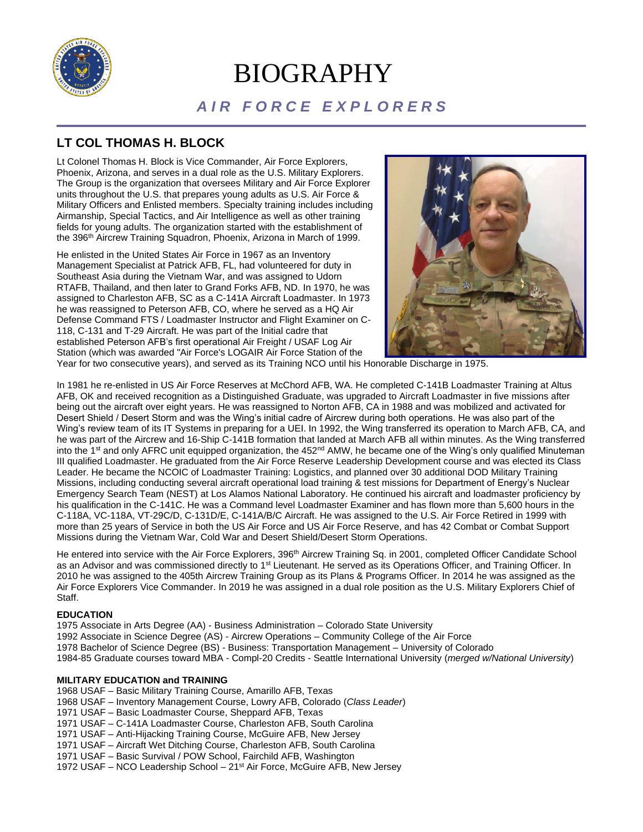

# BIOGRAPHY

# *A I R F O R C E E X P L O R E R S*

# **LT COL THOMAS H. BLOCK**

Lt Colonel Thomas H. Block is Vice Commander, Air Force Explorers, Phoenix, Arizona, and serves in a dual role as the U.S. Military Explorers. The Group is the organization that oversees Military and Air Force Explorer units throughout the U.S. that prepares young adults as U.S. Air Force & Military Officers and Enlisted members. Specialty training includes including Airmanship, Special Tactics, and Air Intelligence as well as other training fields for young adults. The organization started with the establishment of the 396<sup>th</sup> Aircrew Training Squadron, Phoenix, Arizona in March of 1999.

He enlisted in the United States Air Force in 1967 as an Inventory Management Specialist at Patrick AFB, FL, had volunteered for duty in Southeast Asia during the Vietnam War, and was assigned to Udorn RTAFB, Thailand, and then later to Grand Forks AFB, ND. In 1970, he was assigned to Charleston AFB, SC as a C-141A Aircraft Loadmaster. In 1973 he was reassigned to Peterson AFB, CO, where he served as a HQ Air Defense Command FTS / Loadmaster Instructor and Flight Examiner on C-118, C-131 and T-29 Aircraft. He was part of the Initial cadre that established Peterson AFB's first operational Air Freight / USAF Log Air Station (which was awarded "Air Force's LOGAIR Air Force Station of the



Year for two consecutive years), and served as its Training NCO until his Honorable Discharge in 1975.

In 1981 he re-enlisted in US Air Force Reserves at McChord AFB, WA. He completed C-141B Loadmaster Training at Altus AFB, OK and received recognition as a Distinguished Graduate, was upgraded to Aircraft Loadmaster in five missions after being out the aircraft over eight years. He was reassigned to Norton AFB, CA in 1988 and was mobilized and activated for Desert Shield / Desert Storm and was the Wing's initial cadre of Aircrew during both operations. He was also part of the Wing's review team of its IT Systems in preparing for a UEI. In 1992, the Wing transferred its operation to March AFB, CA, and he was part of the Aircrew and 16-Ship C-141B formation that landed at March AFB all within minutes. As the Wing transferred into the 1<sup>st</sup> and only AFRC unit equipped organization, the 452<sup>nd</sup> AMW, he became one of the Wing's only qualified Minuteman III qualified Loadmaster. He graduated from the Air Force Reserve Leadership Development course and was elected its Class Leader. He became the NCOIC of Loadmaster Training: Logistics, and planned over 30 additional DOD Military Training Missions, including conducting several aircraft operational load training & test missions for Department of Energy's Nuclear Emergency Search Team (NEST) at Los Alamos National Laboratory. He continued his aircraft and loadmaster proficiency by his qualification in the C-141C. He was a Command level Loadmaster Examiner and has flown more than 5,600 hours in the C-118A, VC-118A, VT-29C/D, C-131D/E, C-141A/B/C Aircraft. He was assigned to the U.S. Air Force Retired in 1999 with more than 25 years of Service in both the US Air Force and US Air Force Reserve, and has 42 Combat or Combat Support Missions during the Vietnam War, Cold War and Desert Shield/Desert Storm Operations.

He entered into service with the Air Force Explorers, 396<sup>th</sup> Aircrew Training Sq. in 2001, completed Officer Candidate School as an Advisor and was commissioned directly to 1<sup>st</sup> Lieutenant. He served as its Operations Officer, and Training Officer. In 2010 he was assigned to the 405th Aircrew Training Group as its Plans & Programs Officer. In 2014 he was assigned as the Air Force Explorers Vice Commander. In 2019 he was assigned in a dual role position as the U.S. Military Explorers Chief of Staff.

# **EDUCATION**

1975 Associate in Arts Degree (AA) - Business Administration – Colorado State University

1992 Associate in Science Degree (AS) - Aircrew Operations – Community College of the Air Force

- 1978 Bachelor of Science Degree (BS) Business: Transportation Management University of Colorado
- 1984-85 Graduate courses toward MBA Compl-20 Credits Seattle International University (*merged w/National University*)

# **MILITARY EDUCATION and TRAINING**

1968 USAF – Basic Military Training Course, Amarillo AFB, Texas

- 1968 USAF Inventory Management Course, Lowry AFB, Colorado (*Class Leader*)
- 1971 USAF Basic Loadmaster Course, Sheppard AFB, Texas
- 1971 USAF C-141A Loadmaster Course, Charleston AFB, South Carolina
- 1971 USAF Anti-Hijacking Training Course, McGuire AFB, New Jersey
- 1971 USAF Aircraft Wet Ditching Course, Charleston AFB, South Carolina
- 1971 USAF Basic Survival / POW School, Fairchild AFB, Washington
- 1972 USAF NCO Leadership School 21st Air Force, McGuire AFB, New Jersey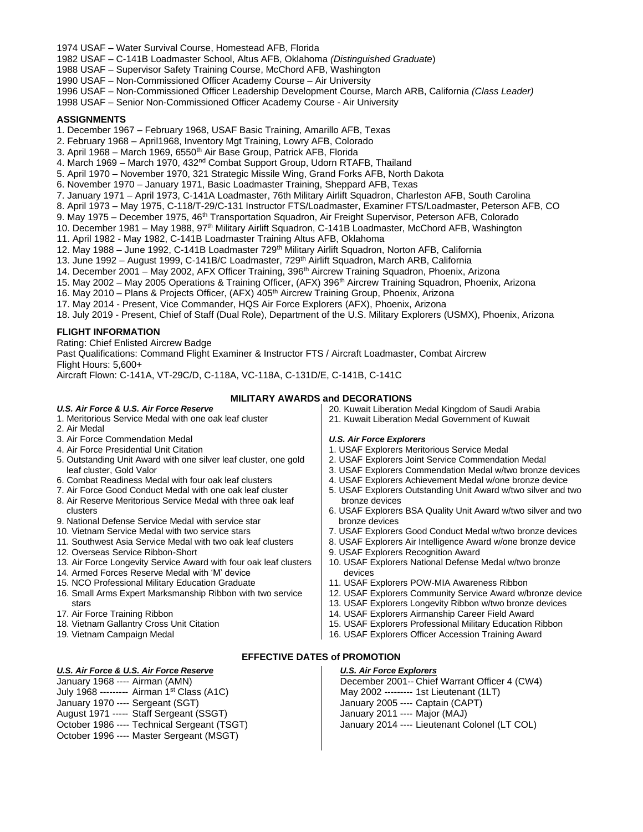- 1974 USAF Water Survival Course, Homestead AFB, Florida
- 1982 USAF C-141B Loadmaster School, Altus AFB, Oklahoma *(Distinguished Graduate*)
- 1988 USAF Supervisor Safety Training Course, McChord AFB, Washington
- 1990 USAF Non-Commissioned Officer Academy Course Air University
- 1996 USAF Non-Commissioned Officer Leadership Development Course, March ARB, California *(Class Leader)*
- 1998 USAF Senior Non-Commissioned Officer Academy Course Air University

#### **ASSIGNMENTS**

- 1. December 1967 February 1968, USAF Basic Training, Amarillo AFB, Texas
- 2. February 1968 April1968, Inventory Mgt Training, Lowry AFB, Colorado
- 3. April 1968 March 1969, 6550<sup>th</sup> Air Base Group, Patrick AFB, Florida
- 4. March 1969 March 1970, 432nd Combat Support Group, Udorn RTAFB, Thailand
- 5. April 1970 November 1970, 321 Strategic Missile Wing, Grand Forks AFB, North Dakota
- 6. November 1970 January 1971, Basic Loadmaster Training, Sheppard AFB, Texas
- 7. January 1971 April 1973, C-141A Loadmaster, 76th Military Airlift Squadron, Charleston AFB, South Carolina
- 8. April 1973 May 1975, C-118/T-29/C-131 Instructor FTS/Loadmaster, Examiner FTS/Loadmaster, Peterson AFB, CO
- 9. May 1975 December 1975, 46<sup>th</sup> Transportation Squadron, Air Freight Supervisor, Peterson AFB, Colorado
- 10. December 1981 May 1988, 97<sup>th</sup> Military Airlift Squadron, C-141B Loadmaster, McChord AFB, Washington
- 11. April 1982 May 1982, C-141B Loadmaster Training Altus AFB, Oklahoma
- 12. May 1988 June 1992, C-141B Loadmaster 729<sup>th</sup> Military Airlift Squadron, Norton AFB, California
- 13. June 1992 August 1999, C-141B/C Loadmaster, 729<sup>th</sup> Airlift Squadron, March ARB, California
- 14. December 2001 May 2002, AFX Officer Training, 396<sup>th</sup> Aircrew Training Squadron, Phoenix, Arizona
- 15. May 2002 May 2005 Operations & Training Officer, (AFX) 396<sup>th</sup> Aircrew Training Squadron, Phoenix, Arizona
- 16. May 2010 Plans & Projects Officer, (AFX) 405th Aircrew Training Group, Phoenix, Arizona
- 17. May 2014 Present, Vice Commander, HQS Air Force Explorers (AFX), Phoenix, Arizona

18. July 2019 - Present, Chief of Staff (Dual Role), Department of the U.S. Military Explorers (USMX), Phoenix, Arizona

# **FLIGHT INFORMATION**

Rating: Chief Enlisted Aircrew Badge

Past Qualifications: Command Flight Examiner & Instructor FTS / Aircraft Loadmaster, Combat Aircrew Flight Hours: 5,600+

Aircraft Flown: C-141A, VT-29C/D, C-118A, VC-118A, C-131D/E, C-141B, C-141C

# **MILITARY AWARDS and DECORATIONS**

#### *U.S. Air Force & U.S. Air Force Reserve*

- 1. Meritorious Service Medal with one oak leaf cluster
- 2. Air Medal
- 3. Air Force Commendation Medal
- 4. Air Force Presidential Unit Citation
- 5. Outstanding Unit Award with one silver leaf cluster, one gold leaf cluster, Gold Valor
- 6. Combat Readiness Medal with four oak leaf clusters
- 7. Air Force Good Conduct Medal with one oak leaf cluster
- 8. Air Reserve Meritorious Service Medal with three oak leaf clusters
- 9. National Defense Service Medal with service star
- 10. Vietnam Service Medal with two service stars
- 11. Southwest Asia Service Medal with two oak leaf clusters
- 12. Overseas Service Ribbon-Short
- 13. Air Force Longevity Service Award with four oak leaf clusters
- 14. Armed Forces Reserve Medal with 'M' device
- 15. NCO Professional Military Education Graduate
- 16. Small Arms Expert Marksmanship Ribbon with two service stars
- 17. Air Force Training Ribbon
- 18. Vietnam Gallantry Cross Unit Citation
- 19. Vietnam Campaign Medal
- 

# *U.S. Air Force & U.S. Air Force Reserve*

January 1968 ---- Airman (AMN) July 1968 --------- Airman 1st Class (A1C) January 1970 ---- Sergeant (SGT) August 1971 ----- Staff Sergeant (SSGT) October 1986 ---- Technical Sergeant (TSGT) October 1996 ---- Master Sergeant (MSGT)

- 20. Kuwait Liberation Medal Kingdom of Saudi Arabia
	- 21. Kuwait Liberation Medal Government of Kuwait

#### *U.S. Air Force Explorers*

- 1. USAF Explorers Meritorious Service Medal
- 2. USAF Explorers Joint Service Commendation Medal
- 3. USAF Explorers Commendation Medal w/two bronze devices
- 4. USAF Explorers Achievement Medal w/one bronze device
- 5. USAF Explorers Outstanding Unit Award w/two silver and two bronze devices
- 6. USAF Explorers BSA Quality Unit Award w/two silver and two bronze devices
- 7. USAF Explorers Good Conduct Medal w/two bronze devices
- 8. USAF Explorers Air Intelligence Award w/one bronze device
- 9. USAF Explorers Recognition Award
- 10. USAF Explorers National Defense Medal w/two bronze devices
- 11. USAF Explorers POW-MIA Awareness Ribbon
- 12. USAF Explorers Community Service Award w/bronze device
- 13. USAF Explorers Longevity Ribbon w/two bronze devices
- 14. USAF Explorers Airmanship Career Field Award
- 15. USAF Explorers Professional Military Education Ribbon
- 16. USAF Explorers Officer Accession Training Award

# **EFFECTIVE DATES of PROMOTION**

#### *U.S. Air Force Explorers*

December 2001-- Chief Warrant Officer 4 (CW4) May 2002 --------- 1st Lieutenant (1LT) January 2005 ---- Captain (CAPT) January 2011 ---- Major (MAJ) January 2014 ---- Lieutenant Colonel (LT COL)